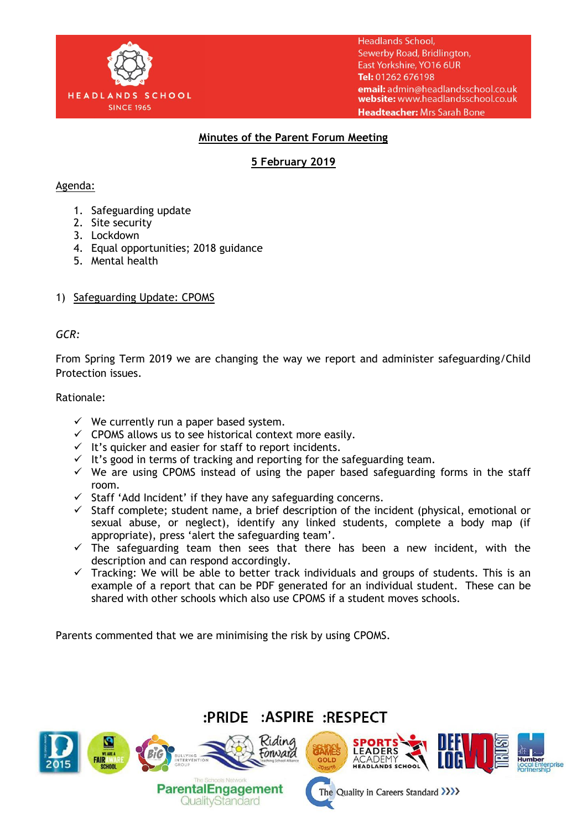

**Headlands School,** Sewerby Road, Bridlington, East Yorkshire, YO16 6UR Tel: 01262 676198 email: admin@headlandsschool.co.uk website: www.headlandsschool.co.uk Headteacher: Mrs Sarah Bone

## **Minutes of the Parent Forum Meeting**

# **5 February 2019**

#### Agenda:

- 1. Safeguarding update
- 2. Site security
- 3. Lockdown
- 4. Equal opportunities; 2018 guidance
- 5. Mental health

### 1) Safeguarding Update: CPOMS

#### *GCR:*

From Spring Term 2019 we are changing the way we report and administer safeguarding/Child Protection issues.

#### Rationale:

- $\checkmark$  We currently run a paper based system.
- $\checkmark$  CPOMS allows us to see historical context more easily.
- $I$  It's quicker and easier for staff to report incidents.
- $\checkmark$  It's good in terms of tracking and reporting for the safeguarding team.
- $\checkmark$  We are using CPOMS instead of using the paper based safeguarding forms in the staff room.
- $\checkmark$  Staff 'Add Incident' if they have any safeguarding concerns.
- $\checkmark$  Staff complete; student name, a brief description of the incident (physical, emotional or sexual abuse, or neglect), identify any linked students, complete a body map (if appropriate), press 'alert the safeguarding team'.
- $\checkmark$  The safeguarding team then sees that there has been a new incident, with the description and can respond accordingly.
- $\checkmark$  Tracking: We will be able to better track individuals and groups of students. This is an example of a report that can be PDF generated for an individual student. These can be shared with other schools which also use CPOMS if a student moves schools.

Parents commented that we are minimising the risk by using CPOMS.

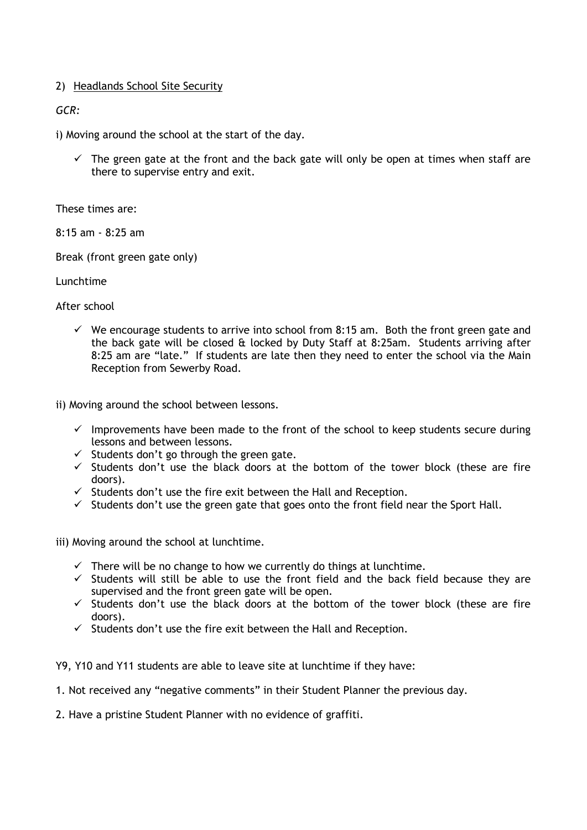### 2) Headlands School Site Security

### *GCR:*

i) Moving around the school at the start of the day.

 $\checkmark$  The green gate at the front and the back gate will only be open at times when staff are there to supervise entry and exit.

These times are:

8:15 am - 8:25 am

Break (front green gate only)

Lunchtime

After school

 $\checkmark$  We encourage students to arrive into school from 8:15 am. Both the front green gate and the back gate will be closed & locked by Duty Staff at 8:25am. Students arriving after 8:25 am are "late." If students are late then they need to enter the school via the Main Reception from Sewerby Road.

ii) Moving around the school between lessons.

- $\checkmark$  Improvements have been made to the front of the school to keep students secure during lessons and between lessons.
- $\checkmark$  Students don't go through the green gate.
- $\checkmark$  Students don't use the black doors at the bottom of the tower block (these are fire doors).
- $\checkmark$  Students don't use the fire exit between the Hall and Reception.
- $\checkmark$  Students don't use the green gate that goes onto the front field near the Sport Hall.

iii) Moving around the school at lunchtime.

- $\checkmark$  There will be no change to how we currently do things at lunchtime.
- $\checkmark$  Students will still be able to use the front field and the back field because they are supervised and the front green gate will be open.
- $\checkmark$  Students don't use the black doors at the bottom of the tower block (these are fire doors).
- $\checkmark$  Students don't use the fire exit between the Hall and Reception.

Y9, Y10 and Y11 students are able to leave site at lunchtime if they have:

1. Not received any "negative comments" in their Student Planner the previous day.

2. Have a pristine Student Planner with no evidence of graffiti.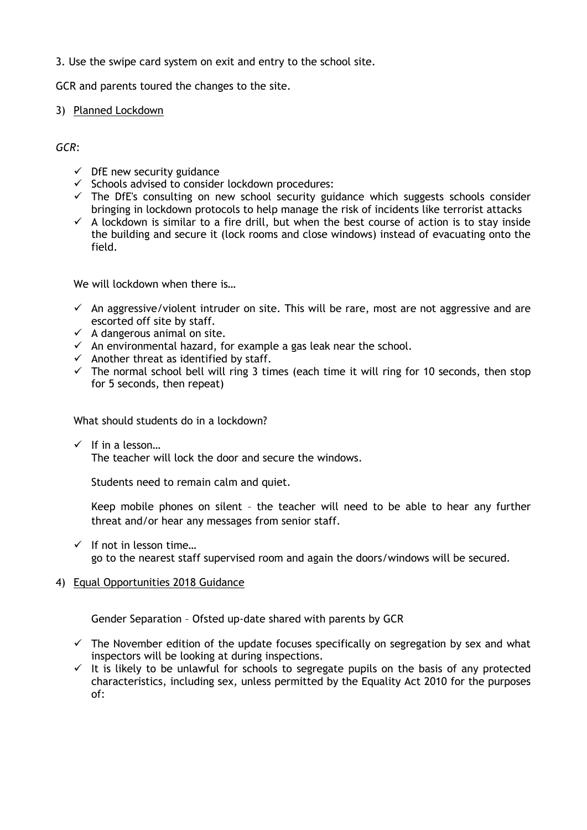### 3. Use the swipe card system on exit and entry to the school site.

GCR and parents toured the changes to the site.

#### 3) Planned Lockdown

*GCR*:

- $\checkmark$  DfE new security guidance
- $\checkmark$  Schools advised to consider lockdown procedures:
- $\checkmark$  The DfE's consulting on new school security guidance which suggests schools consider bringing in lockdown protocols to help manage the risk of incidents like terrorist attacks
- $\checkmark$  A lockdown is similar to a fire drill, but when the best course of action is to stay inside the building and secure it (lock rooms and close windows) instead of evacuating onto the field.

We will lockdown when there is…

- $\checkmark$  An aggressive/violent intruder on site. This will be rare, most are not aggressive and are escorted off site by staff.
- $\checkmark$  A dangerous animal on site.
- $\checkmark$  An environmental hazard, for example a gas leak near the school.
- $\checkmark$  Another threat as identified by staff.
- $\checkmark$  The normal school bell will ring 3 times (each time it will ring for 10 seconds, then stop for 5 seconds, then repeat)

What should students do in a lockdown?

 $\checkmark$  If in a lesson...

The teacher will lock the door and secure the windows.

Students need to remain calm and quiet.

Keep mobile phones on silent – the teacher will need to be able to hear any further threat and/or hear any messages from senior staff.

 $\checkmark$  If not in lesson time... go to the nearest staff supervised room and again the doors/windows will be secured.

## 4) Equal Opportunities 2018 Guidance

Gender Separation – Ofsted up-date shared with parents by GCR

- $\checkmark$  The November edition of the update focuses specifically on segregation by sex and what inspectors will be looking at during inspections.
- $\checkmark$  It is likely to be unlawful for schools to segregate pupils on the basis of any protected characteristics, including sex, unless permitted by the Equality Act 2010 for the purposes of: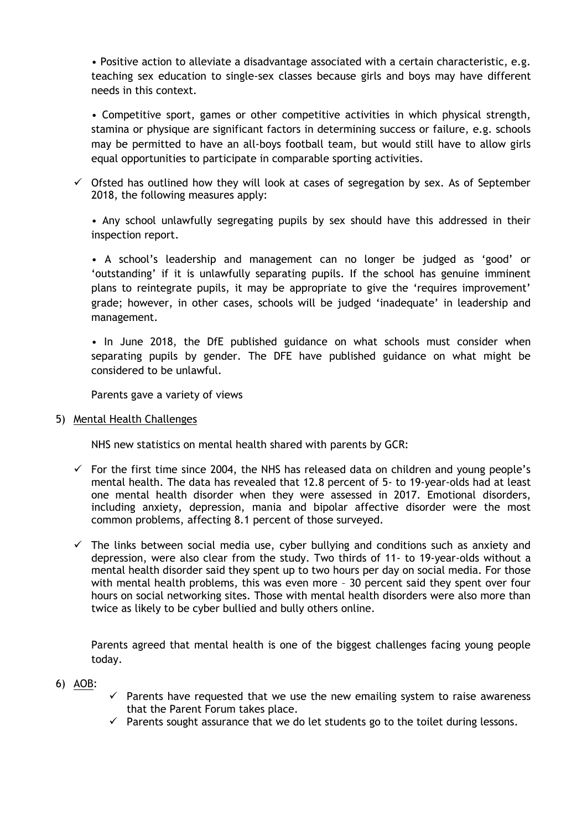• Positive action to alleviate a disadvantage associated with a certain characteristic, e.g. teaching sex education to single-sex classes because girls and boys may have different needs in this context.

• Competitive sport, games or other competitive activities in which physical strength, stamina or physique are significant factors in determining success or failure, e.g. schools may be permitted to have an all-boys football team, but would still have to allow girls equal opportunities to participate in comparable sporting activities.

 $\checkmark$  Ofsted has outlined how they will look at cases of segregation by sex. As of September 2018, the following measures apply:

• Any school unlawfully segregating pupils by sex should have this addressed in their inspection report.

• A school"s leadership and management can no longer be judged as "good" or 'outstanding' if it is unlawfully separating pupils. If the school has genuine imminent plans to reintegrate pupils, it may be appropriate to give the "requires improvement" grade; however, in other cases, schools will be judged "inadequate" in leadership and management.

• In June 2018, the DfE published guidance on what schools must consider when separating pupils by gender. The DFE have published guidance on what might be considered to be unlawful.

Parents gave a variety of views

5) Mental Health Challenges

NHS new statistics on mental health shared with parents by GCR:

- $\checkmark$  For the first time since 2004, the NHS has released data on children and young people's mental health. The data has revealed that 12.8 percent of 5- to 19-year-olds had at least one mental health disorder when they were assessed in 2017. Emotional disorders, including anxiety, depression, mania and bipolar affective disorder were the most common problems, affecting 8.1 percent of those surveyed.
- $\checkmark$  The links between social media use, cyber bullying and conditions such as anxiety and depression, were also clear from the study. Two thirds of 11- to 19-year-olds without a mental health disorder said they spent up to two hours per day on social media. For those with mental health problems, this was even more – 30 percent said they spent over four hours on social networking sites. Those with mental health disorders were also more than twice as likely to be cyber bullied and bully others online.

Parents agreed that mental health is one of the biggest challenges facing young people today.

- 6) AOB:
- $\checkmark$  Parents have requested that we use the new emailing system to raise awareness that the Parent Forum takes place.
- $\checkmark$  Parents sought assurance that we do let students go to the toilet during lessons.